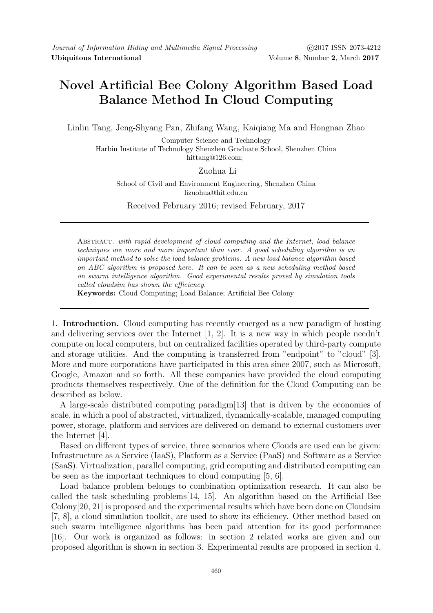# Novel Artificial Bee Colony Algorithm Based Load Balance Method In Cloud Computing

Linlin Tang, Jeng-Shyang Pan, Zhifang Wang, Kaiqiang Ma and Hongnan Zhao

Computer Science and Technology Harbin Institute of Technology Shenzhen Graduate School, Shenzhen China hittang@126.com;

# Zuohua Li

School of Civil and Environment Engineering, Shenzhen China lizuohua@hit.edu.cn

Received February 2016; revised February, 2017

Abstract. with rapid development of cloud computing and the Internet, load balance techniques are more and more important than ever. A good scheduling algorithm is an important method to solve the load balance problems. A new load balance algorithm based on ABC algorithm is proposed here. It can be seen as a new scheduling method based on swarm intelligence algorithm. Good experimental results proved by simulation tools called cloudsim has shown the efficiency.

Keywords: Cloud Computing; Load Balance; Artificial Bee Colony

1. Introduction. Cloud computing has recently emerged as a new paradigm of hosting and delivering services over the Internet [1, 2]. It is a new way in which people needn't compute on local computers, but on centralized facilities operated by third-party compute and storage utilities. And the computing is transferred from "endpoint" to "cloud" [3]. More and more corporations have participated in this area since 2007, such as Microsoft, Google, Amazon and so forth. All these companies have provided the cloud computing products themselves respectively. One of the definition for the Cloud Computing can be described as below.

A large-scale distributed computing paradigm[13] that is driven by the economies of scale, in which a pool of abstracted, virtualized, dynamically-scalable, managed computing power, storage, platform and services are delivered on demand to external customers over the Internet [4].

Based on different types of service, three scenarios where Clouds are used can be given: Infrastructure as a Service (IaaS), Platform as a Service (PaaS) and Software as a Service (SaaS). Virtualization, parallel computing, grid computing and distributed computing can be seen as the important techniques to cloud computing [5, 6].

Load balance problem belongs to combination optimization research. It can also be called the task scheduling problems[14, 15]. An algorithm based on the Artificial Bee Colony[20, 21] is proposed and the experimental results which have been done on Cloudsim [7, 8], a cloud simulation toolkit, are used to show its efficiency. Other method based on such swarm intelligence algorithms has been paid attention for its good performance [16]. Our work is organized as follows: in section 2 related works are given and our proposed algorithm is shown in section 3. Experimental results are proposed in section 4.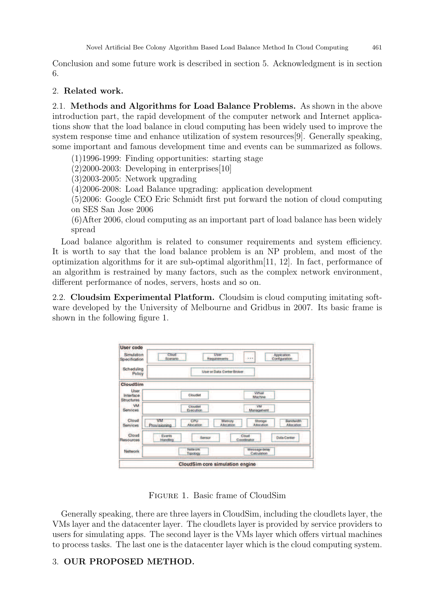Conclusion and some future work is described in section 5. Acknowledgment is in section 6.

### 2. Related work.

2.1. Methods and Algorithms for Load Balance Problems. As shown in the above introduction part, the rapid development of the computer network and Internet applications show that the load balance in cloud computing has been widely used to improve the system response time and enhance utilization of system resources[9]. Generally speaking, some important and famous development time and events can be summarized as follows.

(1)1996-1999: Finding opportunities: starting stage

 $(2)2000-2003$ : Developing in enterprises [10]

(3)2003-2005: Network upgrading

(4)2006-2008: Load Balance upgrading: application development

(5)2006: Google CEO Eric Schmidt first put forward the notion of cloud computing on SES San Jose 2006

(6)After 2006, cloud computing as an important part of load balance has been widely spread

Load balance algorithm is related to consumer requirements and system efficiency. It is worth to say that the load balance problem is an NP problem, and most of the optimization algorithms for it are sub-optimal algorithm[11, 12]. In fact, performance of an algorithm is restrained by many factors, such as the complex network environment, different performance of nodes, servers, hosts and so on.

2.2. Cloudsim Experimental Platform. Cloudsim is cloud computing imitating software developed by the University of Melbourne and Gridbus in 2007. Its basic frame is shown in the following figure 1.

| <b>User code</b><br>Simulation         | Cliniad                              |                       | User                              |                               | Application                           |  |  |
|----------------------------------------|--------------------------------------|-----------------------|-----------------------------------|-------------------------------|---------------------------------------|--|--|
| Specification                          | $\cdots$<br>Scenario<br>Requirements |                       |                                   |                               | Configuration                         |  |  |
| Scheduling<br>Policy                   |                                      |                       | <b>User or Data Center Broker</b> |                               |                                       |  |  |
| CloudSim                               |                                      |                       |                                   |                               |                                       |  |  |
| User<br>Interface<br><b>Structures</b> |                                      | <b>Cloudiet</b>       |                                   | Virtual<br>Machine            |                                       |  |  |
| VM<br><b>Services</b>                  |                                      | Cloudlet<br>Execution |                                   | VM<br>Management              |                                       |  |  |
| Cloud<br><b>Services</b>               | VM<br><b>Provisioning</b>            | CPU<br>Allocation     | Memory<br><b>Allocation</b>       | Storage<br><b>Allocation</b>  | <b>Bandwidth</b><br><b>Allocation</b> |  |  |
| Cloud<br><b>Resources</b>              | Events<br>Handling                   | Sensor                |                                   | Cloud<br>Coordinator          | <b>Data Center</b>                    |  |  |
| Network                                |                                      | Network<br>Topology   |                                   | Message delay.<br>Calculation |                                       |  |  |

Figure 1. Basic frame of CloudSim

Generally speaking, there are three layers in CloudSim, including the cloudlets layer, the VMs layer and the datacenter layer. The cloudlets layer is provided by service providers to users for simulating apps. The second layer is the VMs layer which offers virtual machines to process tasks. The last one is the datacenter layer which is the cloud computing system.

# 3. OUR PROPOSED METHOD.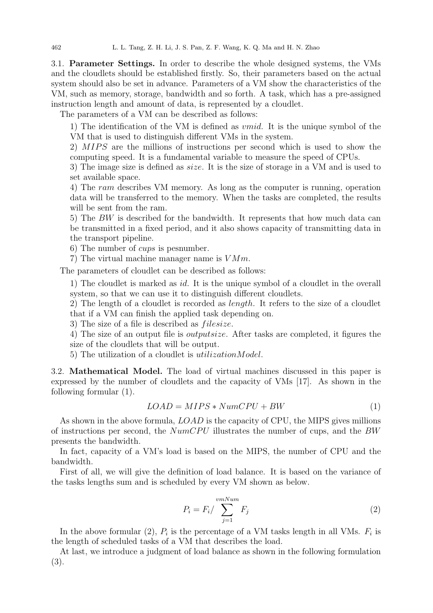3.1. Parameter Settings. In order to describe the whole designed systems, the VMs and the cloudlets should be established firstly. So, their parameters based on the actual system should also be set in advance. Parameters of a VM show the characteristics of the VM, such as memory, storage, bandwidth and so forth. A task, which has a pre-assigned instruction length and amount of data, is represented by a cloudlet.

The parameters of a VM can be described as follows:

1) The identification of the VM is defined as vmid. It is the unique symbol of the VM that is used to distinguish different VMs in the system.

2) MIPS are the millions of instructions per second which is used to show the computing speed. It is a fundamental variable to measure the speed of CPUs.

3) The image size is defined as size. It is the size of storage in a VM and is used to set available space.

4) The ram describes VM memory. As long as the computer is running, operation data will be transferred to the memory. When the tasks are completed, the results will be sent from the ram.

5) The BW is described for the bandwidth. It represents that how much data can be transmitted in a fixed period, and it also shows capacity of transmitting data in the transport pipeline.

6) The number of cups is pesnumber.

7) The virtual machine manager name is  $VMm$ .

The parameters of cloudlet can be described as follows:

1) The cloudlet is marked as id. It is the unique symbol of a cloudlet in the overall system, so that we can use it to distinguish different cloudlets.

2) The length of a cloudlet is recorded as length. It refers to the size of a cloudlet that if a VM can finish the applied task depending on.

3) The size of a file is described as *filesize*.

4) The size of an output file is outputsize. After tasks are completed, it figures the size of the cloudlets that will be output.

5) The utilization of a cloudlet is utilizationModel.

3.2. Mathematical Model. The load of virtual machines discussed in this paper is expressed by the number of cloudlets and the capacity of VMs [17]. As shown in the following formular (1).

$$
LOAD = MIPS * NumCPU + BW \tag{1}
$$

As shown in the above formula, LOAD is the capacity of CPU, the MIPS gives millions of instructions per second, the  $NumCPU$  illustrates the number of cups, and the BW presents the bandwidth.

In fact, capacity of a VM's load is based on the MIPS, the number of CPU and the bandwidth.

First of all, we will give the definition of load balance. It is based on the variance of the tasks lengths sum and is scheduled by every VM shown as below.

$$
P_i = F_i / \sum_{j=1}^{vmNum} F_j
$$
 (2)

In the above formular (2),  $P_i$  is the percentage of a VM tasks length in all VMs.  $F_i$  is the length of scheduled tasks of a VM that describes the load.

At last, we introduce a judgment of load balance as shown in the following formulation (3).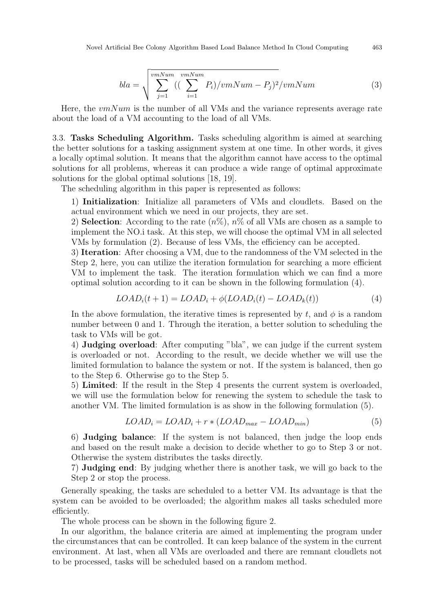$$
bla = \sqrt{\sum_{j=1}^{vmNum} \left( \left( \sum_{i=1}^{vmNum} P_i \right) /vmNum - P_j \right)^2 /vmNum}
$$
 (3)

Here, the  $vmNum$  is the number of all VMs and the variance represents average rate about the load of a VM accounting to the load of all VMs.

3.3. Tasks Scheduling Algorithm. Tasks scheduling algorithm is aimed at searching the better solutions for a tasking assignment system at one time. In other words, it gives a locally optimal solution. It means that the algorithm cannot have access to the optimal solutions for all problems, whereas it can produce a wide range of optimal approximate solutions for the global optimal solutions [18, 19].

The scheduling algorithm in this paper is represented as follows:

1) Initialization: Initialize all parameters of VMs and cloudlets. Based on the actual environment which we need in our projects, they are set.

2) **Selection**: According to the rate  $(n\%)$ ,  $n\%$  of all VMs are chosen as a sample to implement the NO.i task. At this step, we will choose the optimal VM in all selected VMs by formulation (2). Because of less VMs, the efficiency can be accepted.

3) Iteration: After choosing a VM, due to the randomness of the VM selected in the Step 2, here, you can utilize the iteration formulation for searching a more efficient VM to implement the task. The iteration formulation which we can find a more optimal solution according to it can be shown in the following formulation (4).

$$
LOADi(t+1) = LOADi + \phi (LOADi(t) - LOADk(t))
$$
\n(4)

In the above formulation, the iterative times is represented by t, and  $\phi$  is a random number between 0 and 1. Through the iteration, a better solution to scheduling the task to VMs will be got.

4) Judging overload: After computing "bla", we can judge if the current system is overloaded or not. According to the result, we decide whether we will use the limited formulation to balance the system or not. If the system is balanced, then go to the Step 6. Otherwise go to the Step 5.

5) Limited: If the result in the Step 4 presents the current system is overloaded, we will use the formulation below for renewing the system to schedule the task to another VM. The limited formulation is as show in the following formulation (5).

$$
LOAD_i = LOAD_i + r * (LOAD_{max} - LOAD_{min})
$$
\n(5)

6) Judging balance: If the system is not balanced, then judge the loop ends and based on the result make a decision to decide whether to go to Step 3 or not. Otherwise the system distributes the tasks directly.

7) Judging end: By judging whether there is another task, we will go back to the Step 2 or stop the process.

Generally speaking, the tasks are scheduled to a better VM. Its advantage is that the system can be avoided to be overloaded; the algorithm makes all tasks scheduled more efficiently.

The whole process can be shown in the following figure 2.

In our algorithm, the balance criteria are aimed at implementing the program under the circumstances that can be controlled. It can keep balance of the system in the current environment. At last, when all VMs are overloaded and there are remnant cloudlets not to be processed, tasks will be scheduled based on a random method.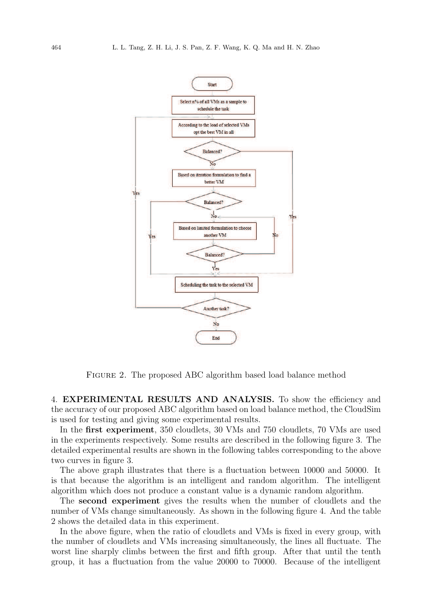

Figure 2. The proposed ABC algorithm based load balance method

4. EXPERIMENTAL RESULTS AND ANALYSIS. To show the efficiency and the accuracy of our proposed ABC algorithm based on load balance method, the CloudSim is used for testing and giving some experimental results.

In the first experiment, 350 cloudlets, 30 VMs and 750 cloudlets, 70 VMs are used in the experiments respectively. Some results are described in the following figure 3. The detailed experimental results are shown in the following tables corresponding to the above two curves in figure 3.

The above graph illustrates that there is a fluctuation between 10000 and 50000. It is that because the algorithm is an intelligent and random algorithm. The intelligent algorithm which does not produce a constant value is a dynamic random algorithm.

The second experiment gives the results when the number of cloudlets and the number of VMs change simultaneously. As shown in the following figure 4. And the table 2 shows the detailed data in this experiment.

In the above figure, when the ratio of cloudlets and VMs is fixed in every group, with the number of cloudlets and VMs increasing simultaneously, the lines all fluctuate. The worst line sharply climbs between the first and fifth group. After that until the tenth group, it has a fluctuation from the value 20000 to 70000. Because of the intelligent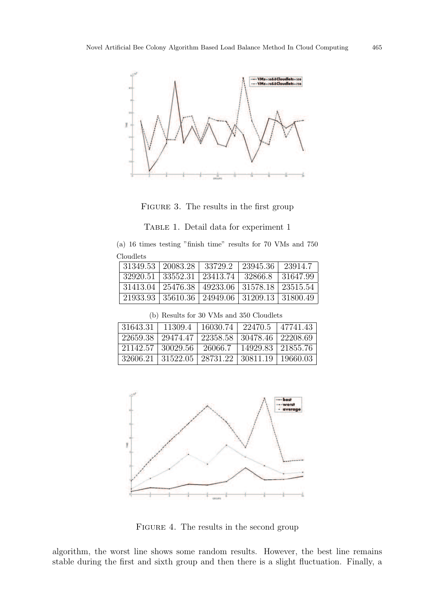

FIGURE 3. The results in the first group

TABLE 1. Detail data for experiment 1

(a) 16 times testing "finish time" results for 70 VMs and 750 Cloudlets

|          | $31349.53 \pm 20083.28 \pm 33729.2$ |                     | 23945.36  | 23914.7  |
|----------|-------------------------------------|---------------------|-----------|----------|
| 32920.51 | 33552.31   23413.74                 |                     | - 32866.8 | 31647.99 |
| 31413.04 | 25476.38                            | 49233.06   31578.18 |           | 23515.54 |
| 21933.93 | 35610.36 24949.06 31209.13 31800.49 |                     |           |          |

(b) Results for 30 VMs and 350 Cloudlets

| $31643.31$   11309.4   16030.74   22470.5   47741.43               |         |                     |  |
|--------------------------------------------------------------------|---------|---------------------|--|
| 22659.38   29474.47   22358.58   30478.46   22208.69               |         |                     |  |
| 21142.57   30029.56                                                | 26066.7 | 14929.83   21855.76 |  |
| $32606.21 \mid 31522.05 \mid 28731.22 \mid 30811.19 \mid 19660.03$ |         |                     |  |



FIGURE 4. The results in the second group

algorithm, the worst line shows some random results. However, the best line remains stable during the first and sixth group and then there is a slight fluctuation. Finally, a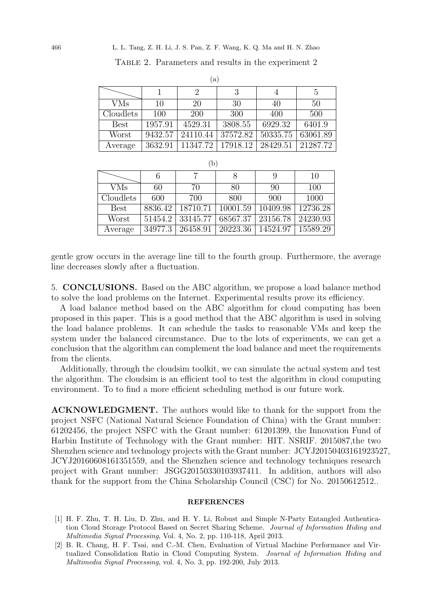Table 2. Parameters and results in the experiment 2

 $(a)$ 

|             |         | $\mathcal{U}$ |          |          |          |
|-------------|---------|---------------|----------|----------|----------|
|             |         | 2             | 3        |          | 5        |
| <b>VMs</b>  | 10      | 20            | 30       | 40       | 50       |
| Cloudlets   | 100     | <b>200</b>    | 300      | 400      | 500      |
| <b>Best</b> | 1957.91 | 4529.31       | 3808.55  | 6929.32  | 6401.9   |
| Worst       | 9432.57 | 24110.44      | 37572.82 | 50335.75 | 63061.89 |
| Average     | 3632.91 | 11347.72      | 17918.12 | 28429.51 | 21287.72 |

| (b)         |         |          |          |          |          |  |
|-------------|---------|----------|----------|----------|----------|--|
|             | 6       |          | 8        | 9        | 10       |  |
| <b>VMs</b>  | 60      | 70       | 80       | 90       | 100      |  |
| Cloudlets   | 600     | 700      | 800      | 900      | 1000     |  |
| <b>Best</b> | 8836.42 | 18710.71 | 10001.59 | 10409.98 | 12736.28 |  |
| Worst       | 51454.2 | 33145.77 | 68567.37 | 23156.78 | 24230.93 |  |
| Average     | 34977.3 | 26458.91 | 20223.36 | 14524.97 | 15589.29 |  |

gentle grow occurs in the average line till to the fourth group. Furthermore, the average line decreases slowly after a fluctuation.

5. CONCLUSIONS. Based on the ABC algorithm, we propose a load balance method to solve the load problems on the Internet. Experimental results prove its efficiency.

A load balance method based on the ABC algorithm for cloud computing has been proposed in this paper. This is a good method that the ABC algorithm is used in solving the load balance problems. It can schedule the tasks to reasonable VMs and keep the system under the balanced circumstance. Due to the lots of experiments, we can get a conclusion that the algorithm can complement the load balance and meet the requirements from the clients.

Additionally, through the cloudsim toolkit, we can simulate the actual system and test the algorithm. The cloudsim is an efficient tool to test the algorithm in cloud computing environment. To to find a more efficient scheduling method is our future work.

ACKNOWLEDGMENT. The authors would like to thank for the support from the project NSFC (National Natural Science Foundation of China) with the Grant number: 61202456, the project NSFC with the Grant number: 61201399, the Innovation Fund of Harbin Institute of Technology with the Grant number: HIT. NSRIF. 2015087,the two Shenzhen science and technology projects with the Grant number: JCYJ20150403161923527, JCYJ20160608161351559, and the Shenzhen science and technology techniques research project with Grant number: JSGG20150330103937411. In addition, authors will also thank for the support from the China Scholarship Council (CSC) for No. 20150612512..

#### REFERENCES

- [1] H. F. Zhu, T. H. Liu, D. Zhu, and H. Y. Li, Robust and Simple N-Party Entangled Authentication Cloud Storage Protocol Based on Secret Sharing Scheme. Journal of Information Hiding and Multimedia Signal Processing, Vol. 4, No. 2, pp. 110-118, April 2013.
- [2] B. R. Chang, H. F. Tsai, and C.-M. Chen, Evaluation of Virtual Machine Performance and Virtualized Consolidation Ratio in Cloud Computing System. Journal of Information Hiding and Multimedia Signal Processing, vol. 4, No. 3, pp. 192-200, July 2013.